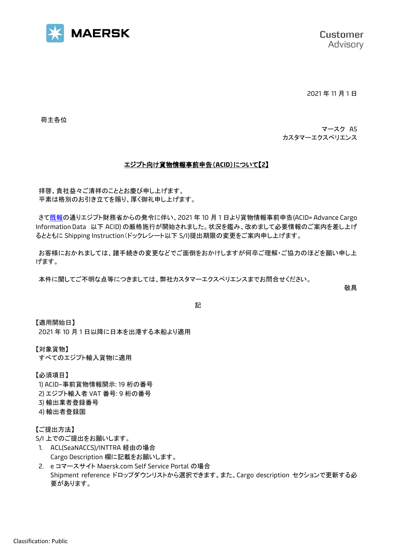

2021 年 11 月 1 日

荷主各位

マースク AS カスタマーエクスペリエンス

## エジプト向け貨物情報事前申告(**ACID**)について【**2**】

拝啓、貴社益々ご清祥のこととお慶び申し上げます。 平素は格別のお引き立てを賜り、厚く御礼申し上げます。

さ[て既報の](https://www.maersk.com/~/media_sc9/maersk/local-information/files/asia-pacific/japan/important-information/local-customer-advisory/pre-declaration-cargo-information-egypt-acid-september-13-2021.pdf)通りエジプト財務省からの発令に伴い、2021 年 10 月 1 日より貨物情報事前申告(ACID= Advance Cargo Information Data 以下 ACID) の厳格施行が開始されました。状況を鑑み、改めまして必要情報のご案内を差し上げ るとともに Shipping Instruction(ドックレシート以下 S/I)提出期限の変更をご案内申し上げます。

お客様におかれましては、諸手続きの変更などでご面倒をおかけしますが何卒ご理解・ご協力のほどを願い申し上 げます。

本件に関してご不明な点等につきましては、弊社カスタマーエクスペリエンスまでお問合せください。

敬具

記

【適用開始日】 2021 年 10 月 1 日以降に日本を出港する本船より適用

【対象貨物】

すべてのエジプト輸入貨物に適用

【必須項目】 1) ACID–事前貨物情報開示: 19 桁の番号 2) エジプト輸入者 VAT 番号: 9 桁の番号 3) 輸出業者登録番号 4) 輸出者登録国

【ご提出方法】

S/I 上でのご提出をお願いします。

- 1. ACL(SeaNACCS)/INTTRA 経由の場合 Cargo Description 欄に記載をお願いします。
- 2. e コマースサイト Maersk.com Self Service Portal の場合 Shipment reference ドロップダウンリストから選択できます。また、Cargo description セクションで更新する必 要があります。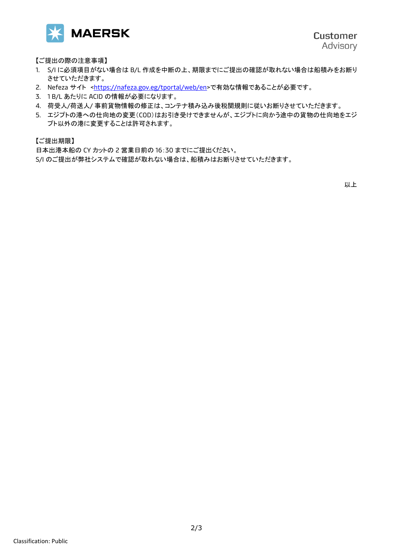

【ご提出の際の注意事項】

- 1. S/I に必須項目がない場合は B/L 作成を中断の上、期限までにご提出の確認が取れない場合は船積みをお断り させていただきます。
- 2. Nefeza サイト [<https://nafeza.gov.eg/tportal/web/en>](https://nafeza.gov.eg/tportal/web/en)で有効な情報であることが必要です。
- 3. 1 B/L あたりに ACID の情報が必要になります。
- 4. 荷受人/荷送人/ 事前貨物情報の修正は、コンテナ積み込み後税関規則に従いお断りさせていただきます。
- 5. エジプトの港への仕向地の変更(COD)はお引き受けできませんが、エジプトに向かう途中の貨物の仕向地をエジ プト以外の港に変更することは許可されます。

【ご提出期限】

日本出港本船の CY カットの 2 営業日前の 16:30 までにご提出ください。 S/I のご提出が弊社システムで確認が取れない場合は、船積みはお断りさせていただきます。

以上